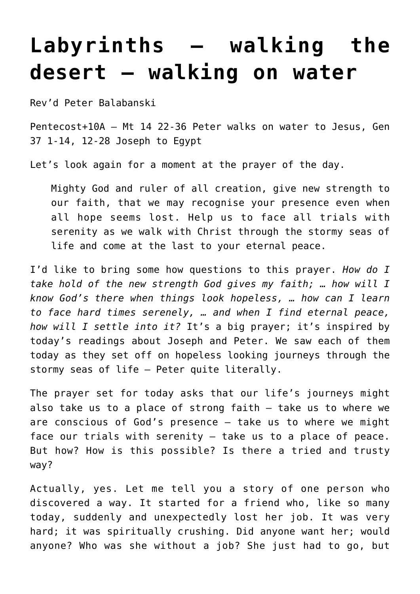## **[Labyrinths – walking the](http://stjohnsadelaide.org.au/labyrinths-walking-the-desert-walking-on-water-2/) [desert – walking on water](http://stjohnsadelaide.org.au/labyrinths-walking-the-desert-walking-on-water-2/)**

Rev'd Peter Balabanski

Pentecost+10A – Mt 14 22-36 Peter walks on water to Jesus, Gen 37 1-14, 12-28 Joseph to Egypt

Let's look again for a moment at the prayer of the day.

Mighty God and ruler of all creation, give new strength to our faith, that we may recognise your presence even when all hope seems lost. Help us to face all trials with serenity as we walk with Christ through the stormy seas of life and come at the last to your eternal peace.

I'd like to bring some how questions to this prayer. *How do I take hold of the new strength God gives my faith; … how will I know God's there when things look hopeless, … how can I learn to face hard times serenely, … and when I find eternal peace, how will I settle into it?* It's a big prayer; it's inspired by today's readings about Joseph and Peter. We saw each of them today as they set off on hopeless looking journeys through the stormy seas of life – Peter quite literally.

The prayer set for today asks that our life's journeys might also take us to a place of strong faith – take us to where we are conscious of God's presence – take us to where we might face our trials with serenity – take us to a place of peace. But how? How is this possible? Is there a tried and trusty way?

Actually, yes. Let me tell you a story of one person who discovered a way. It started for a friend who, like so many today, suddenly and unexpectedly lost her job. It was very hard; it was spiritually crushing. Did anyone want her; would anyone? Who was she without a job? She just had to go, but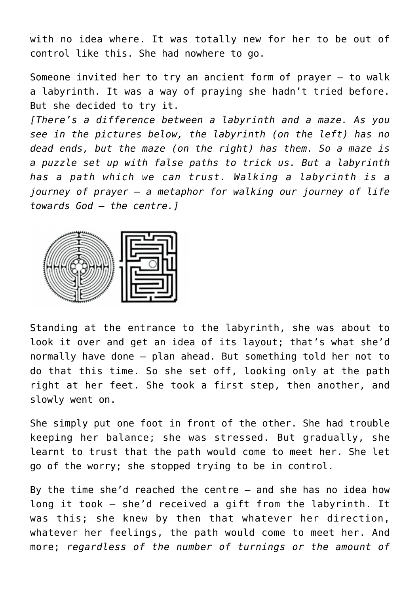with no idea where. It was totally new for her to be out of control like this. She had nowhere to go.

Someone invited her to try an ancient form of prayer – to walk a labyrinth. It was a way of praying she hadn't tried before. But she decided to try it.

*[There's a difference between a labyrinth and a maze. As you see in the pictures below, the labyrinth (on the left) has no dead ends, but the maze (on the right) has them. So a maze is a puzzle set up with false paths to trick us. But a labyrinth has a path which we can trust. Walking a labyrinth is a journey of prayer – a metaphor for walking our journey of life towards God – the centre.]*



Standing at the entrance to the labyrinth, she was about to look it over and get an idea of its layout; that's what she'd normally have done – plan ahead. But something told her not to do that this time. So she set off, looking only at the path right at her feet. She took a first step, then another, and slowly went on.

She simply put one foot in front of the other. She had trouble keeping her balance; she was stressed. But gradually, she learnt to trust that the path would come to meet her. She let go of the worry; she stopped trying to be in control.

By the time she'd reached the centre – and she has no idea how long it took – she'd received a gift from the labyrinth. It was this; she knew by then that whatever her direction, whatever her feelings, the path would come to meet her. And more; *regardless of the number of turnings or the amount of*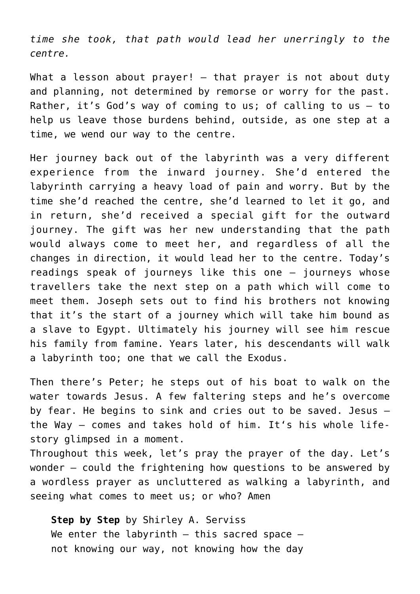*time she took, that path would lead her unerringly to the centre.*

What a lesson about prayer!  $-$  that prayer is not about duty and planning, not determined by remorse or worry for the past. Rather, it's God's way of coming to us; of calling to us – to help us leave those burdens behind, outside, as one step at a time, we wend our way to the centre.

Her journey back out of the labyrinth was a very different experience from the inward journey. She'd entered the labyrinth carrying a heavy load of pain and worry. But by the time she'd reached the centre, she'd learned to let it go, and in return, she'd received a special gift for the outward journey. The gift was her new understanding that the path would always come to meet her, and regardless of all the changes in direction, it would lead her to the centre. Today's readings speak of journeys like this one – journeys whose travellers take the next step on a path which will come to meet them. Joseph sets out to find his brothers not knowing that it's the start of a journey which will take him bound as a slave to Egypt. Ultimately his journey will see him rescue his family from famine. Years later, his descendants will walk a labyrinth too; one that we call the Exodus.

Then there's Peter; he steps out of his boat to walk on the water towards Jesus. A few faltering steps and he's overcome by fear. He begins to sink and cries out to be saved. Jesus – the Way – comes and takes hold of him. It's his whole lifestory glimpsed in a moment.

Throughout this week, let's pray the prayer of the day. Let's wonder – could the frightening how questions to be answered by a wordless prayer as uncluttered as walking a labyrinth, and seeing what comes to meet us; or who? Amen

**Step by Step** by Shirley A. Serviss We enter the labyrinth  $-$  this sacred space  $$ not knowing our way, not knowing how the day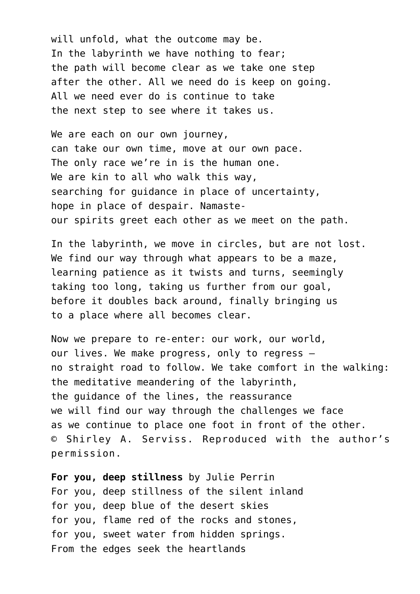will unfold, what the outcome may be. In the labyrinth we have nothing to fear; the path will become clear as we take one step after the other. All we need do is keep on going. All we need ever do is continue to take the next step to see where it takes us.

We are each on our own journey, can take our own time, move at our own pace. The only race we're in is the human one. We are kin to all who walk this way, searching for guidance in place of uncertainty, hope in place of despair. Namasteour spirits greet each other as we meet on the path.

In the labyrinth, we move in circles, but are not lost. We find our way through what appears to be a maze, learning patience as it twists and turns, seemingly taking too long, taking us further from our goal, before it doubles back around, finally bringing us to a place where all becomes clear.

Now we prepare to re-enter: our work, our world, our lives. We make progress, only to regress – no straight road to follow. We take comfort in the walking: the meditative meandering of the labyrinth, the guidance of the lines, the reassurance we will find our way through the challenges we face as we continue to place one foot in front of the other. © Shirley A. Serviss. Reproduced with the author's permission.

**For you, deep stillness** by Julie Perrin For you, deep stillness of the silent inland for you, deep blue of the desert skies for you, flame red of the rocks and stones, for you, sweet water from hidden springs. From the edges seek the heartlands